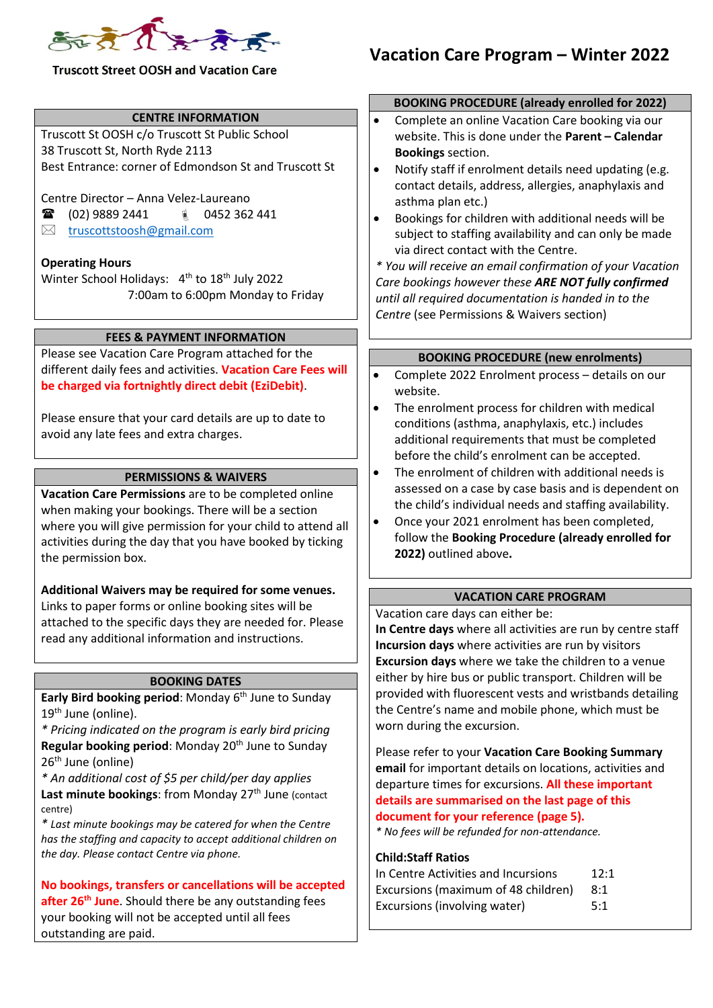

#### **CENTRE INFORMATION**

Truscott St OOSH c/o Truscott St Public School 38 Truscott St, North Ryde 2113 Best Entrance: corner of Edmondson St and Truscott St

Centre Director – Anna Velez-Laureano

- (02) 9889 2441 0452 362 441
- $\boxtimes$  [truscottstoosh@gmail.com](mailto:truscottstoosh@gmail.com)

#### **Operating Hours**

Winter School Holidays: 4<sup>th</sup> to 18<sup>th</sup> July 2022 7:00am to 6:00pm Monday to Friday

#### **FEES & PAYMENT INFORMATION**

Please see Vacation Care Program attached for the different daily fees and activities. **Vacation Care Fees will be charged via fortnightly direct debit (EziDebit)**.

Please ensure that your card details are up to date to avoid any late fees and extra charges.

#### **PERMISSIONS & WAIVERS**

**Vacation Care Permissions** are to be completed online when making your bookings. There will be a section where you will give permission for your child to attend all activities during the day that you have booked by ticking the permission box.

**Additional Waivers may be required for some venues.**  Links to paper forms or online booking sites will be attached to the specific days they are needed for. Please read any additional information and instructions.

#### **BOOKING DATES**

**Early Bird booking period**: Monday 6 th June to Sunday 19<sup>th</sup> June (online).

*\* Pricing indicated on the program is early bird pricing*  **Regular booking period:** Monday 20<sup>th</sup> June to Sunday 26<sup>th</sup> June (online)

*\* An additional cost of \$5 per child/per day applies* **Last minute bookings: from Monday 27<sup>th</sup> June (contact)** centre)

*\* Last minute bookings may be catered for when the Centre has the staffing and capacity to accept additional children on the day. Please contact Centre via phone.*

**No bookings, transfers or cancellations will be accepted after 26th June**. Should there be any outstanding fees your booking will not be accepted until all fees outstanding are paid.

# **Vacation Care Program – Winter 2022**

#### **BOOKING PROCEDURE (already enrolled for 2022)**

- Complete an online Vacation Care booking via our website. This is done under the **Parent – Calendar Bookings** section.
- Notify staff if enrolment details need updating (e.g. contact details, address, allergies, anaphylaxis and asthma plan etc.)
- Bookings for children with additional needs will be subject to staffing availability and can only be made via direct contact with the Centre.

*\* You will receive an email confirmation of your Vacation Care bookings however these ARE NOT fully confirmed until all required documentation is handed in to the Centre* (see Permissions & Waivers section)

### **BOOKING PROCEDURE (new enrolments)**

- Complete 2022 Enrolment process details on our website.
- The enrolment process for children with medical conditions (asthma, anaphylaxis, etc.) includes additional requirements that must be completed before the child's enrolment can be accepted.
- The enrolment of children with additional needs is assessed on a case by case basis and is dependent on the child's individual needs and staffing availability.
- Once your 2021 enrolment has been completed, follow the **Booking Procedure (already enrolled for 2022)** outlined above**.**

## **VACATION CARE PROGRAM**

Vacation care days can either be:

**In Centre days** where all activities are run by centre staff **Incursion days** where activities are run by visitors **Excursion days** where we take the children to a venue either by hire bus or public transport. Children will be provided with fluorescent vests and wristbands detailing the Centre's name and mobile phone, which must be worn during the excursion.

Please refer to your **Vacation Care Booking Summary email** for important details on locations, activities and departure times for excursions. **All these important details are summarised on the last page of this document for your reference (page 5).**

*\* No fees will be refunded for non-attendance.*

## **Child:Staff Ratios**

| In Centre Activities and Incursions | 12:1 |
|-------------------------------------|------|
| Excursions (maximum of 48 children) | 8:1  |
| Excursions (involving water)        | 5:1  |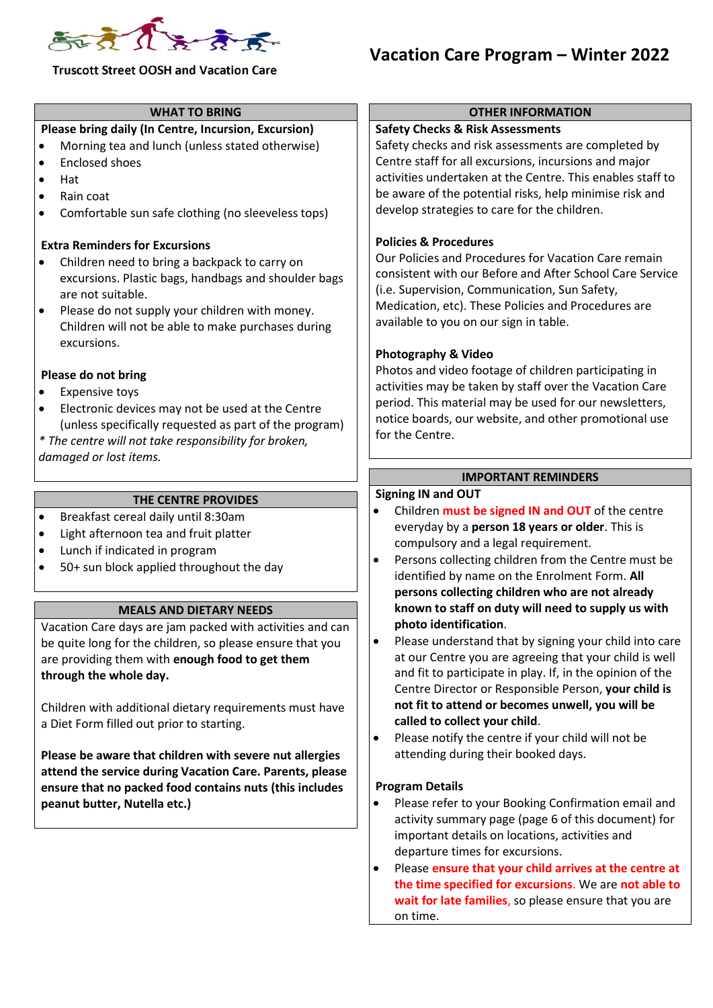

## **Vacation Care Program – Winter 2022**

#### **WHAT TO BRING**

### **Please bring daily (In Centre, Incursion, Excursion)**

- Morning tea and lunch (unless stated otherwise)
- Enclosed shoes
- Hat
- Rain coat
- Comfortable sun safe clothing (no sleeveless tops)

#### **Extra Reminders for Excursions**

- Children need to bring a backpack to carry on excursions. Plastic bags, handbags and shoulder bags are not suitable.
- Please do not supply your children with money. Children will not be able to make purchases during excursions.

#### **Please do not bring**

- **Expensive toys**
- Electronic devices may not be used at the Centre (unless specifically requested as part of the program)

*\* The centre will not take responsibility for broken, damaged or lost items.*

#### **THE CENTRE PROVIDES**

- Breakfast cereal daily until 8:30am
- Light afternoon tea and fruit platter
- Lunch if indicated in program
- 50+ sun block applied throughout the day

#### **MEALS AND DIETARY NEEDS**

Vacation Care days are jam packed with activities and can be quite long for the children, so please ensure that you are providing them with **enough food to get them through the whole day.**

Children with additional dietary requirements must have a Diet Form filled out prior to starting.

**Please be aware that children with severe nut allergies attend the service during Vacation Care. Parents, please ensure that no packed food contains nuts (this includes peanut butter, Nutella etc.)**

#### **OTHER INFORMATION**

#### **Safety Checks & Risk Assessments**

Safety checks and risk assessments are completed by Centre staff for all excursions, incursions and major activities undertaken at the Centre. This enables staff to be aware of the potential risks, help minimise risk and develop strategies to care for the children.

#### **Policies & Procedures**

Our Policies and Procedures for Vacation Care remain consistent with our Before and After School Care Service (i.e. Supervision, Communication, Sun Safety, Medication, etc). These Policies and Procedures are available to you on our sign in table.

#### **Photography & Video**

Photos and video footage of children participating in activities may be taken by staff over the Vacation Care period. This material may be used for our newsletters, notice boards, our website, and other promotional use for the Centre.

#### **IMPORTANT REMINDERS**

#### **Signing IN and OUT**

- Children **must be signed IN and OUT** of the centre everyday by a **person 18 years or older**. This is compulsory and a legal requirement.
- Persons collecting children from the Centre must be identified by name on the Enrolment Form. **All persons collecting children who are not already known to staff on duty will need to supply us with photo identification**.
- Please understand that by signing your child into care at our Centre you are agreeing that your child is well and fit to participate in play. If, in the opinion of the Centre Director or Responsible Person, **your child is not fit to attend or becomes unwell, you will be called to collect your child**.
- Please notify the centre if your child will not be attending during their booked days.

#### **Program Details**

- Please refer to your Booking Confirmation email and activity summary page (page 6 of this document) for important details on locations, activities and departure times for excursions.
- Please **ensure that your child arrives at the centre at the time specified for excursions**. We are **not able to wait for late families**, so please ensure that you are on time.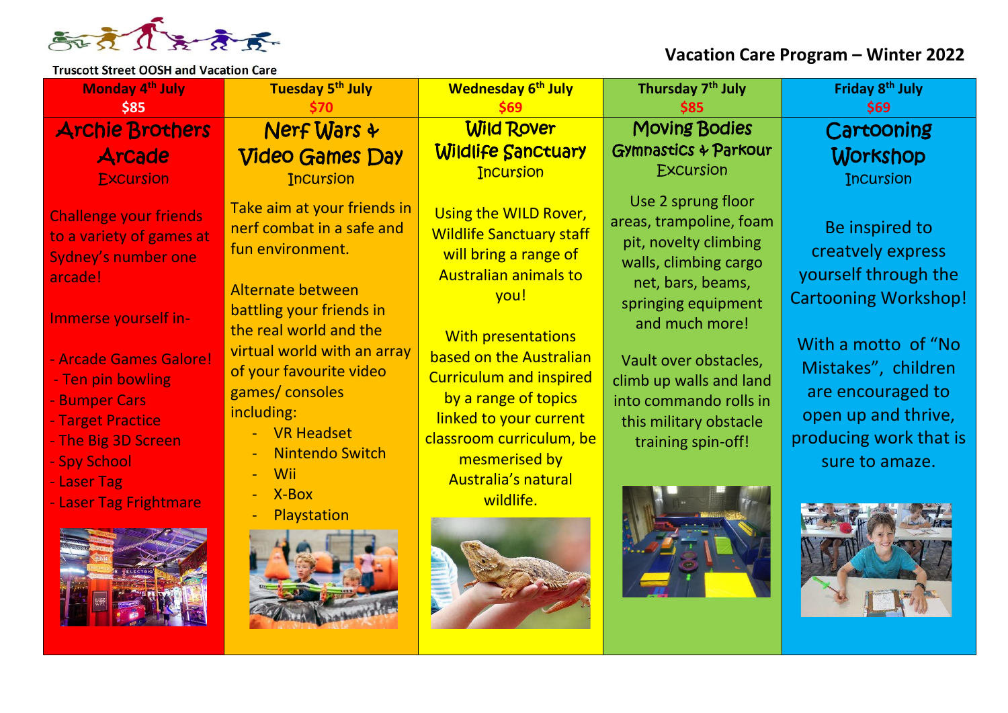

## **Vacation Care Program – Winter 2022**

| Monday 4 <sup>th</sup> July<br>\$85                                                                                                                                                                                                                                                      | Tuesday 5 <sup>th</sup> July                                                                                                                                                                                                                                                                                               | <b>Wednesday 6th July</b>                                                                                                                                                                                                                                                                                                                                     | Thursday 7 <sup>th</sup> July<br><b>S85</b>                                                                                                                                                                                                                                                 | Friday 8 <sup>th</sup> July<br><b>\$69</b>                                                                                                                                                                                       |
|------------------------------------------------------------------------------------------------------------------------------------------------------------------------------------------------------------------------------------------------------------------------------------------|----------------------------------------------------------------------------------------------------------------------------------------------------------------------------------------------------------------------------------------------------------------------------------------------------------------------------|---------------------------------------------------------------------------------------------------------------------------------------------------------------------------------------------------------------------------------------------------------------------------------------------------------------------------------------------------------------|---------------------------------------------------------------------------------------------------------------------------------------------------------------------------------------------------------------------------------------------------------------------------------------------|----------------------------------------------------------------------------------------------------------------------------------------------------------------------------------------------------------------------------------|
| <b>Archie Brothers</b><br>Arcade<br><b>Excursion</b>                                                                                                                                                                                                                                     | <b>Nerf Wars &amp;</b><br><b>Video Games Day</b><br><b>Incursion</b>                                                                                                                                                                                                                                                       | <b>Wild Rover</b><br><b>Wildlife Sanctuary</b><br><b>Incursion</b>                                                                                                                                                                                                                                                                                            | <b>Moving Bodies</b><br><b>Gymnastics &amp; Parkour</b><br><b>Excursion</b>                                                                                                                                                                                                                 | Cartooning<br>Workshop<br><b>Incursion</b>                                                                                                                                                                                       |
| <b>Challenge your friends</b><br>to a variety of games at<br>Sydney's number one<br>arcade!<br>Immerse yourself in-<br>- Arcade Games Galore!<br>- Ten pin bowling<br>- Bumper Cars<br>- Target Practice<br>- The Big 3D Screen<br>- Spy School<br>- Laser Tag<br>- Laser Tag Frightmare | Take aim at your friends in<br>nerf combat in a safe and<br>fun environment.<br>Alternate between<br>battling your friends in<br>the real world and the<br>virtual world with an array<br>of your favourite video<br>games/consoles<br>including:<br>- VR Headset<br><b>Nintendo Switch</b><br>Wii<br>X-Box<br>Playstation | Using the WILD Rover,<br><b>Wildlife Sanctuary staff</b><br>will bring a range of<br><b>Australian animals to</b><br>you!<br><b>With presentations</b><br>based on the Australian<br><b>Curriculum and inspired</b><br>by a range of topics<br>linked to your current<br>classroom curriculum, be<br>mesmerised by<br><b>Australia's natural</b><br>wildlife. | Use 2 sprung floor<br>areas, trampoline, foam<br>pit, novelty climbing<br>walls, climbing cargo<br>net, bars, beams,<br>springing equipment<br>and much more!<br>Vault over obstacles,<br>climb up walls and land<br>into commando rolls in<br>this military obstacle<br>training spin-off! | Be inspired to<br>creatvely express<br>yourself through the<br><b>Cartooning Workshop!</b><br>With a motto of "No<br>Mistakes", children<br>are encouraged to<br>open up and thrive,<br>producing work that is<br>sure to amaze. |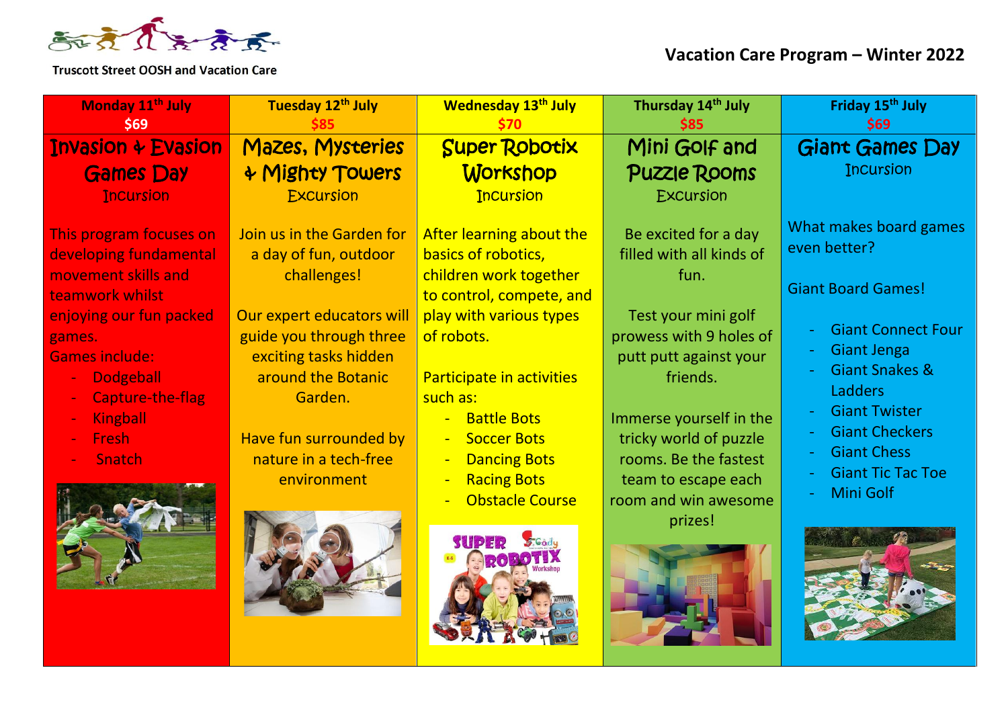

| Monday 11 <sup>th</sup> July                                                                                                                                                                                                                          | Tuesday 12th July                                                                                                                                                                                                                                     | <b>Wednesday 13th July</b>                                                                                                                                                                                                                                                                                                                                                                                             | Thursday 14th July                                                                                                                                                                                                                                                                       | Friday 15 <sup>th</sup> July                                                                                                                                                                                                                                                                 |
|-------------------------------------------------------------------------------------------------------------------------------------------------------------------------------------------------------------------------------------------------------|-------------------------------------------------------------------------------------------------------------------------------------------------------------------------------------------------------------------------------------------------------|------------------------------------------------------------------------------------------------------------------------------------------------------------------------------------------------------------------------------------------------------------------------------------------------------------------------------------------------------------------------------------------------------------------------|------------------------------------------------------------------------------------------------------------------------------------------------------------------------------------------------------------------------------------------------------------------------------------------|----------------------------------------------------------------------------------------------------------------------------------------------------------------------------------------------------------------------------------------------------------------------------------------------|
| <b>\$69</b>                                                                                                                                                                                                                                           |                                                                                                                                                                                                                                                       |                                                                                                                                                                                                                                                                                                                                                                                                                        |                                                                                                                                                                                                                                                                                          | <b>\$69</b>                                                                                                                                                                                                                                                                                  |
| <b>Invasion + Evasion</b>                                                                                                                                                                                                                             | <b>Mazes, Mysteries</b>                                                                                                                                                                                                                               | <b>Super Robotix</b>                                                                                                                                                                                                                                                                                                                                                                                                   | Mini Golf and                                                                                                                                                                                                                                                                            | Giant Games Day                                                                                                                                                                                                                                                                              |
| <b>Games Day</b>                                                                                                                                                                                                                                      | + Mighty Towers                                                                                                                                                                                                                                       | Workshop                                                                                                                                                                                                                                                                                                                                                                                                               | <b>Puzzle Rooms</b>                                                                                                                                                                                                                                                                      | <b>Incursion</b>                                                                                                                                                                                                                                                                             |
| <b>Incursion</b>                                                                                                                                                                                                                                      | <b>Excursion</b>                                                                                                                                                                                                                                      | <b>Incursion</b>                                                                                                                                                                                                                                                                                                                                                                                                       | Excursion                                                                                                                                                                                                                                                                                |                                                                                                                                                                                                                                                                                              |
| This program focuses on<br>developing fundamental<br>movement skills and<br>teamwork whilst<br>enjoying our fun packed<br>games.<br><b>Games include:</b><br><b>Dodgeball</b><br>Capture-the-flag<br><b>Kingball</b><br><b>Fresh</b><br><b>Snatch</b> | Join us in the Garden for<br>a day of fun, outdoor<br>challenges!<br>Our expert educators will<br>guide you through three<br>exciting tasks hidden<br>around the Botanic<br>Garden.<br>Have fun surrounded by<br>nature in a tech-free<br>environment | After learning about the<br>basics of robotics,<br>children work together<br>to control, compete, and<br>play with various types<br>of robots.<br>Participate in activities<br>such as:<br><b>Battle Bots</b><br>$\blacksquare$<br><b>Soccer Bots</b><br>$\blacksquare$<br><b>Dancing Bots</b><br>$\overline{\phantom{0}}$<br><b>Racing Bots</b><br>$\blacksquare$<br><b>Obstacle Course</b><br>SUPER<br><b>S.Gody</b> | Be excited for a day<br>filled with all kinds of<br>fun.<br>Test your mini golf<br>prowess with 9 holes of<br>putt putt against your<br>friends.<br>Immerse yourself in the<br>tricky world of puzzle<br>rooms. Be the fastest<br>team to escape each<br>room and win awesome<br>prizes! | What makes board games<br>even better?<br><b>Giant Board Games!</b><br><b>Giant Connect Four</b><br><b>Giant Jenga</b><br><b>Giant Snakes &amp;</b><br><b>Ladders</b><br><b>Giant Twister</b><br><b>Giant Checkers</b><br><b>Giant Chess</b><br><b>Giant Tic Tac Toe</b><br><b>Mini Golf</b> |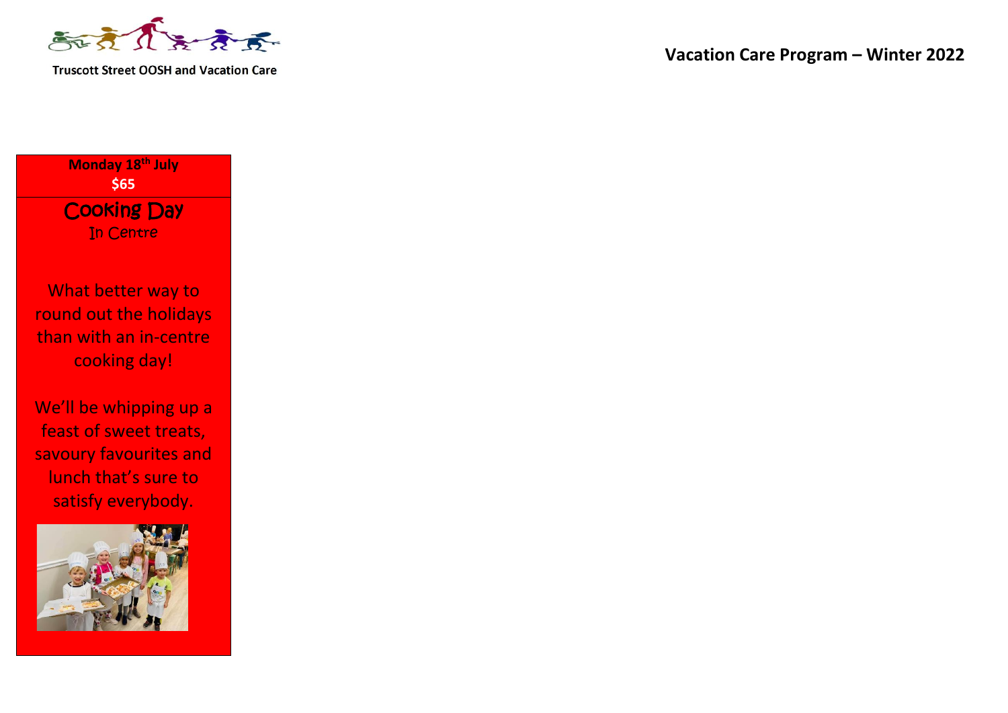

**Vacation Care Program – Winter 2022**

**Monday 18th July \$65** Cooking Day In Centre

What better way to round out the holidays than with an in-centre cooking day!

We'll be whipping up a feast of sweet treats, savoury favourites and lunch that's sure to satisfy everybody.